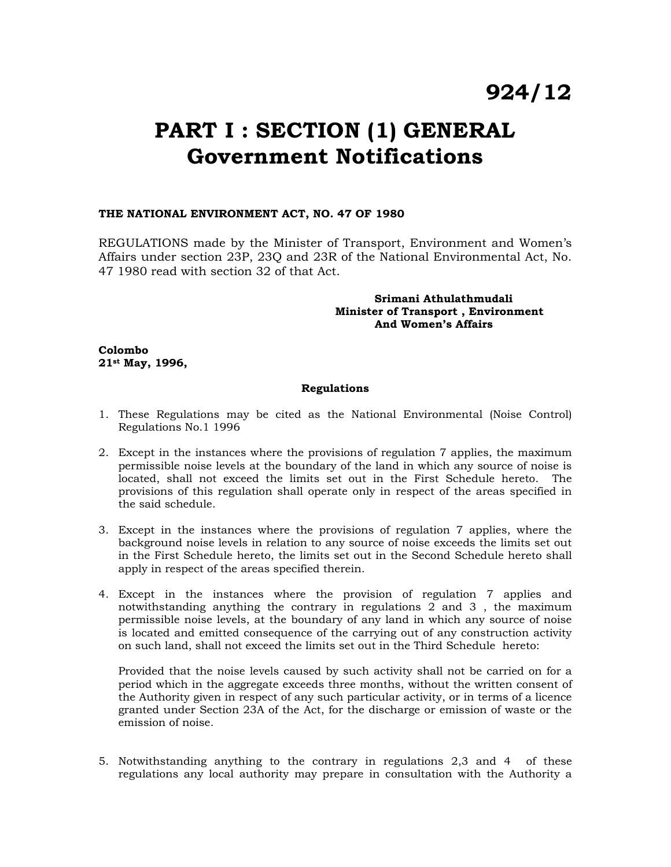# **924/12**

## **PART I : SECTION (1) GENERAL Government Notifications**

## **THE NATIONAL ENVIRONMENT ACT, NO. 47 OF 1980**

REGULATIONS made by the Minister of Transport, Environment and Women's Affairs under section 23P, 23Q and 23R of the National Environmental Act, No. 47 1980 read with section 32 of that Act.

## **Srimani Athulathmudali Minister of Transport , Environment And Women's Affairs**

**Colombo 21st May, 1996,** 

## **Regulations**

- 1. These Regulations may be cited as the National Environmental (Noise Control) Regulations No.1 1996
- 2. Except in the instances where the provisions of regulation 7 applies, the maximum permissible noise levels at the boundary of the land in which any source of noise is located, shall not exceed the limits set out in the First Schedule hereto. The provisions of this regulation shall operate only in respect of the areas specified in the said schedule.
- 3. Except in the instances where the provisions of regulation 7 applies, where the background noise levels in relation to any source of noise exceeds the limits set out in the First Schedule hereto, the limits set out in the Second Schedule hereto shall apply in respect of the areas specified therein.
- 4. Except in the instances where the provision of regulation 7 applies and notwithstanding anything the contrary in regulations 2 and 3 , the maximum permissible noise levels, at the boundary of any land in which any source of noise is located and emitted consequence of the carrying out of any construction activity on such land, shall not exceed the limits set out in the Third Schedule hereto:

Provided that the noise levels caused by such activity shall not be carried on for a period which in the aggregate exceeds three months, without the written consent of the Authority given in respect of any such particular activity, or in terms of a licence granted under Section 23A of the Act, for the discharge or emission of waste or the emission of noise.

5. Notwithstanding anything to the contrary in regulations 2,3 and 4 of these regulations any local authority may prepare in consultation with the Authority a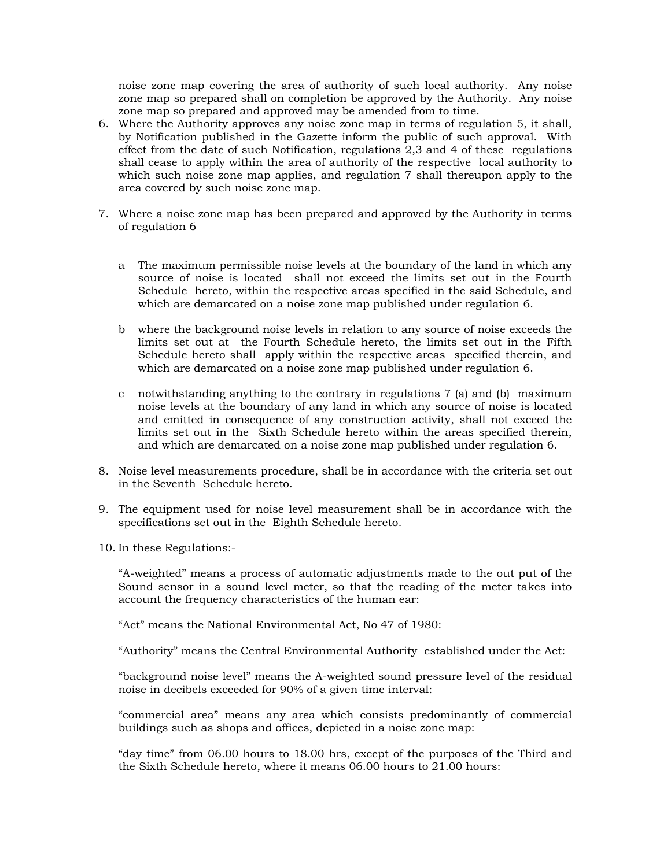noise zone map covering the area of authority of such local authority. Any noise zone map so prepared shall on completion be approved by the Authority. Any noise zone map so prepared and approved may be amended from to time.

- 6. Where the Authority approves any noise zone map in terms of regulation 5, it shall, by Notification published in the Gazette inform the public of such approval. With effect from the date of such Notification, regulations 2,3 and 4 of these regulations shall cease to apply within the area of authority of the respective local authority to which such noise zone map applies, and regulation 7 shall thereupon apply to the area covered by such noise zone map.
- 7. Where a noise zone map has been prepared and approved by the Authority in terms of regulation 6
	- a The maximum permissible noise levels at the boundary of the land in which any source of noise is located shall not exceed the limits set out in the Fourth Schedule hereto, within the respective areas specified in the said Schedule, and which are demarcated on a noise zone map published under regulation 6.
	- b where the background noise levels in relation to any source of noise exceeds the limits set out at the Fourth Schedule hereto, the limits set out in the Fifth Schedule hereto shall apply within the respective areas specified therein, and which are demarcated on a noise zone map published under regulation 6.
	- c notwithstanding anything to the contrary in regulations 7 (a) and (b) maximum noise levels at the boundary of any land in which any source of noise is located and emitted in consequence of any construction activity, shall not exceed the limits set out in the Sixth Schedule hereto within the areas specified therein, and which are demarcated on a noise zone map published under regulation 6.
- 8. Noise level measurements procedure, shall be in accordance with the criteria set out in the Seventh Schedule hereto.
- 9. The equipment used for noise level measurement shall be in accordance with the specifications set out in the Eighth Schedule hereto.
- 10. In these Regulations:-

"A-weighted" means a process of automatic adjustments made to the out put of the Sound sensor in a sound level meter, so that the reading of the meter takes into account the frequency characteristics of the human ear:

"Act" means the National Environmental Act, No 47 of 1980:

"Authority" means the Central Environmental Authority established under the Act:

"background noise level" means the A-weighted sound pressure level of the residual noise in decibels exceeded for 90% of a given time interval:

"commercial area" means any area which consists predominantly of commercial buildings such as shops and offices, depicted in a noise zone map:

"day time" from 06.00 hours to 18.00 hrs, except of the purposes of the Third and the Sixth Schedule hereto, where it means 06.00 hours to 21.00 hours: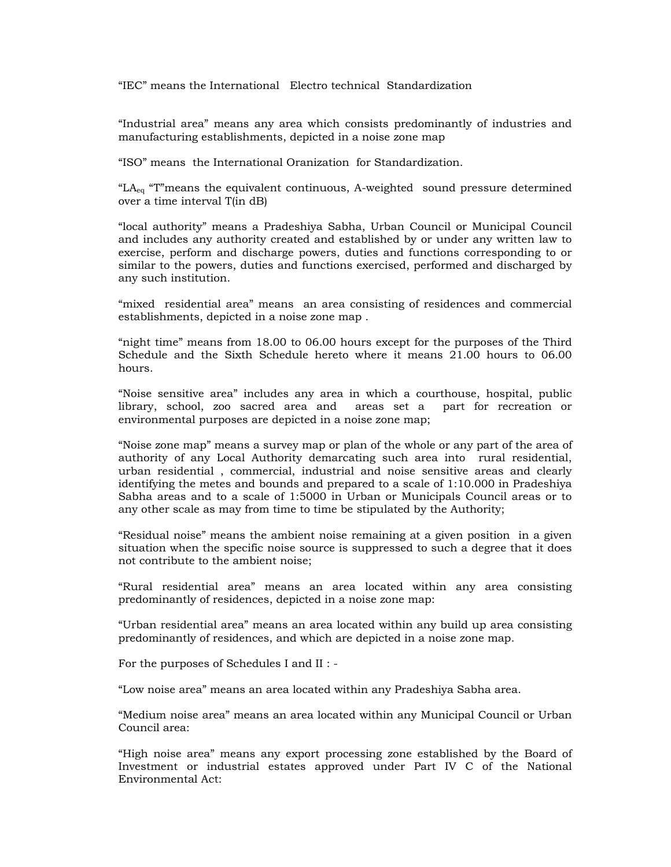"IEC" means the International Electro technical Standardization

"Industrial area" means any area which consists predominantly of industries and manufacturing establishments, depicted in a noise zone map

"ISO" means the International Oranization for Standardization.

" $LA_{eq}$  "T"means the equivalent continuous, A-weighted sound pressure determined over a time interval T(in dB)

"local authority" means a Pradeshiya Sabha, Urban Council or Municipal Council and includes any authority created and established by or under any written law to exercise, perform and discharge powers, duties and functions corresponding to or similar to the powers, duties and functions exercised, performed and discharged by any such institution.

"mixed residential area" means an area consisting of residences and commercial establishments, depicted in a noise zone map .

"night time" means from 18.00 to 06.00 hours except for the purposes of the Third Schedule and the Sixth Schedule hereto where it means 21.00 hours to 06.00 hours.

"Noise sensitive area" includes any area in which a courthouse, hospital, public library, school, zoo sacred area and areas set a part for recreation or environmental purposes are depicted in a noise zone map;

"Noise zone map" means a survey map or plan of the whole or any part of the area of authority of any Local Authority demarcating such area into rural residential, urban residential , commercial, industrial and noise sensitive areas and clearly identifying the metes and bounds and prepared to a scale of 1:10.000 in Pradeshiya Sabha areas and to a scale of 1:5000 in Urban or Municipals Council areas or to any other scale as may from time to time be stipulated by the Authority;

"Residual noise" means the ambient noise remaining at a given position in a given situation when the specific noise source is suppressed to such a degree that it does not contribute to the ambient noise;

"Rural residential area" means an area located within any area consisting predominantly of residences, depicted in a noise zone map:

"Urban residential area" means an area located within any build up area consisting predominantly of residences, and which are depicted in a noise zone map.

For the purposes of Schedules I and II : -

"Low noise area" means an area located within any Pradeshiya Sabha area.

"Medium noise area" means an area located within any Municipal Council or Urban Council area:

"High noise area" means any export processing zone established by the Board of Investment or industrial estates approved under Part IV C of the National Environmental Act: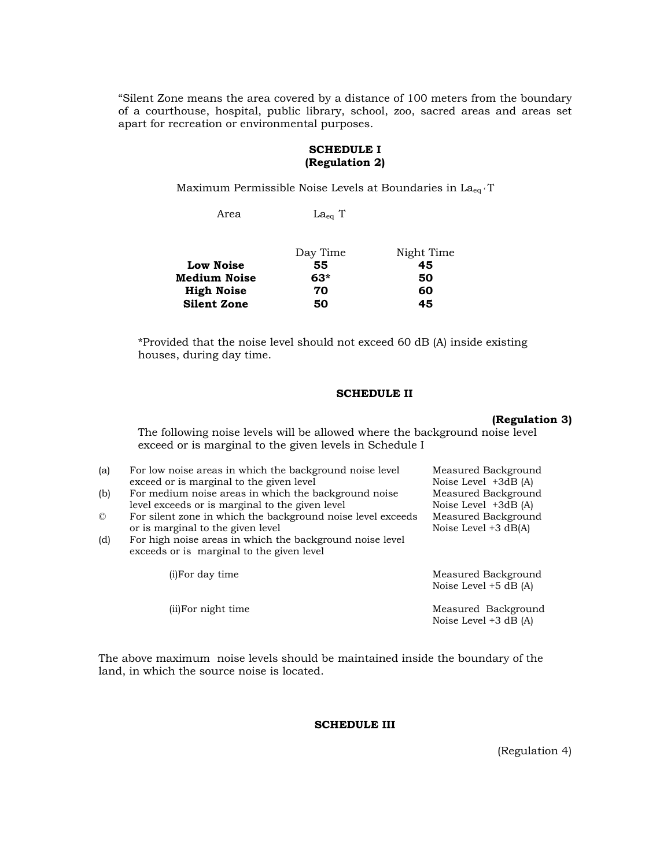"Silent Zone means the area covered by a distance of 100 meters from the boundary of a courthouse, hospital, public library, school, zoo, sacred areas and areas set apart for recreation or environmental purposes.

#### **SCHEDULE I (Regulation 2)**

Maximum Permissible Noise Levels at Boundaries in La<sub>eq</sub> T

Area Laeq T

| Day Time | Night Time |
|----------|------------|
| 55       | 45         |
| $63*$    | 50         |
| 70       | 60         |
| 50       | 45         |
|          |            |

\*Provided that the noise level should not exceed 60 dB (A) inside existing houses, during day time.

### **SCHEDULE II**

#### **(Regulation 3)**

The following noise levels will be allowed where the background noise level exceed or is marginal to the given levels in Schedule I

| (a)            | For low noise areas in which the background noise level     | Measured Background                            |
|----------------|-------------------------------------------------------------|------------------------------------------------|
|                | exceed or is marginal to the given level                    | Noise Level $+3dB(A)$                          |
| (b)            | For medium noise areas in which the background noise        | Measured Background                            |
|                | level exceeds or is marginal to the given level             | Noise Level $+3dB(A)$                          |
| $\circledcirc$ | For silent zone in which the background noise level exceeds | Measured Background                            |
|                | or is marginal to the given level                           | Noise Level $+3$ dB(A)                         |
| (d)            | For high noise areas in which the background noise level    |                                                |
|                | exceeds or is marginal to the given level                   |                                                |
|                | (i) For day time                                            | Measured Background<br>Noise Level $+5$ dB (A) |
|                | (ii) For night time                                         | Measured Background<br>Noise Level $+3$ dB (A) |

The above maximum noise levels should be maintained inside the boundary of the land, in which the source noise is located.

## **SCHEDULE III**

(Regulation 4)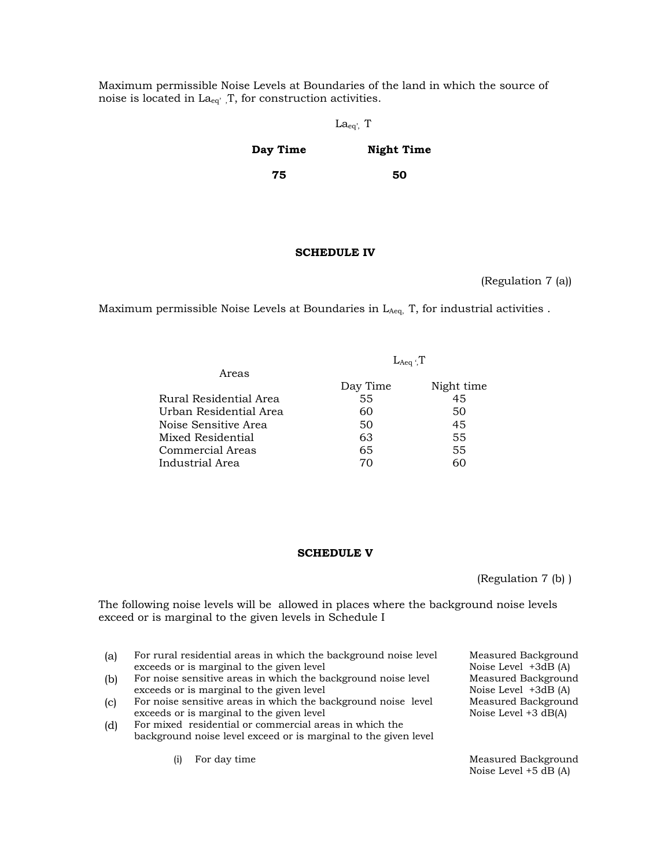Maximum permissible Noise Levels at Boundaries of the land in which the source of noise is located in  $La_{eq'}$ , T, for construction activities.

**75** 

## Laeq', T

**50** 

#### **Day Time Night Time**

**SCHEDULE IV** 

(Regulation 7 (a))

Maximum permissible Noise Levels at Boundaries in  $L_{A_1}$ , for industrial activities .

|                        | $L_{Aeq}$ $T$ |            |
|------------------------|---------------|------------|
| Areas                  |               |            |
|                        | Day Time      | Night time |
| Rural Residential Area | 55            | 45         |
| Urban Residential Area | 60            | 50         |
| Noise Sensitive Area   | 50            | 45         |
| Mixed Residential      | 63            | 55         |
| Commercial Areas       | 65            | 55         |
| Industrial Area        | 70            | 60         |
|                        |               |            |

#### **SCHEDULE V**

(Regulation 7 (b) )

The following noise levels will be allowed in places where the background noise levels exceed or is marginal to the given levels in Schedule I

- (a) For rural residential areas in which the background noise level exceeds or is marginal to the given level
- (b) For noise sensitive areas in which the background noise level exceeds or is marginal to the given level
- (c) For noise sensitive areas in which the background noise level exceeds or is marginal to the given level
- (d) For mixed residential or commercial areas in which the background noise level exceed or is marginal to the given level

Measured Background Noise Level +3dB (A) Measured Background Noise Level +3dB (A) Measured Background Noise Level +3 dB(A)

(i) For day time **Measured Background** Noise Level +5 dB (A)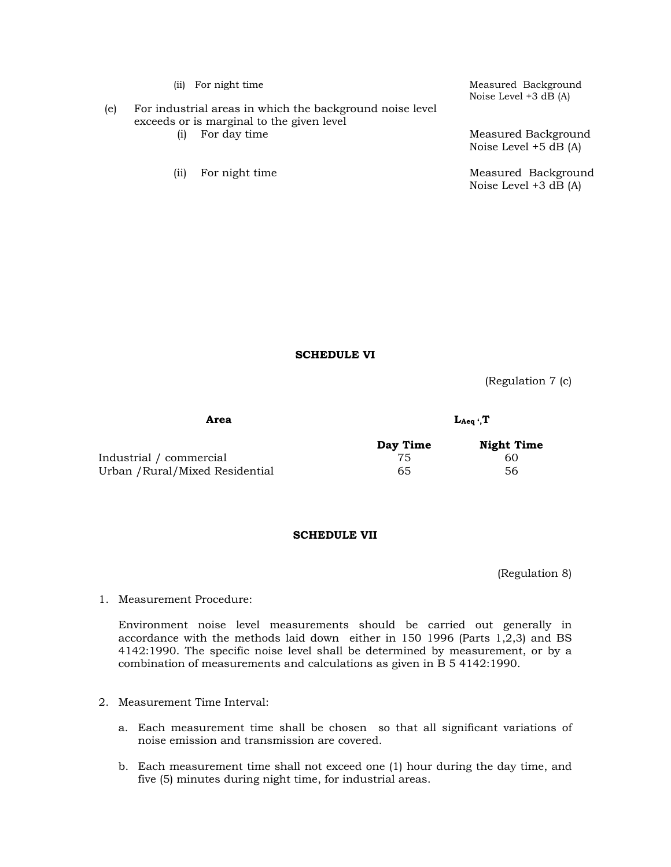|     | (iij) | For night time                                                                                        | Measured Background<br>Noise Level $+3$ dB (A) |
|-----|-------|-------------------------------------------------------------------------------------------------------|------------------------------------------------|
| (e) |       | For industrial areas in which the background noise level<br>exceeds or is marginal to the given level |                                                |
|     | (i)   | For day time                                                                                          | Measured Background<br>Noise Level $+5$ dB (A) |
|     | (11)  | For night time                                                                                        | Measured Background<br>Noise Level +3 dB (A)   |

**SCHEDULE VI** 

(Regulation 7 (c)

Area L<sub>Aeq</sub> ', T

|                                 | Day Time | <b>Night Time</b> |
|---------------------------------|----------|-------------------|
| Industrial / commercial         |          | 60                |
| Urban / Rural/Mixed Residential | 65       | 56                |

## **SCHEDULE VII**

(Regulation 8)

1. Measurement Procedure:

Environment noise level measurements should be carried out generally in accordance with the methods laid down either in 150 1996 (Parts 1,2,3) and BS 4142:1990. The specific noise level shall be determined by measurement, or by a combination of measurements and calculations as given in B 5 4142:1990.

- 2. Measurement Time Interval:
	- a. Each measurement time shall be chosen so that all significant variations of noise emission and transmission are covered.
	- b. Each measurement time shall not exceed one (1) hour during the day time, and five (5) minutes during night time, for industrial areas.